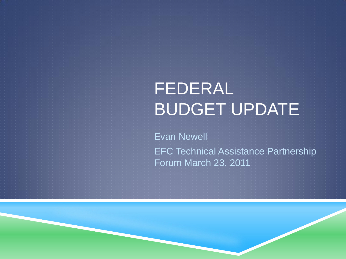# FEDERAL BUDGET UPDATE

Evan Newell EFC Technical Assistance Partnership Forum March 23, 2011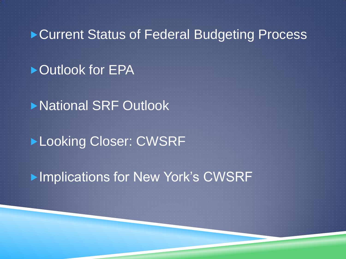#### ▶ Current Status of Federal Budgeting Process

### ▶ Outlook for EPA

▶National SRF Outlook

### Looking Closer: CWSRF

**Implications for New York's CWSRF**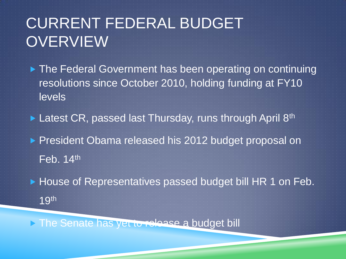## CURRENT FEDERAL BUDGET **OVERVIEW**

▶ The Federal Government has been operating on continuing resolutions since October 2010, holding funding at FY10 levels

 $\blacktriangleright$  Latest CR, passed last Thursday, runs through April 8<sup>th</sup>

President Obama released his 2012 budget proposal on

 $\overline{Feb. 14}$ th

▶ House of Representatives passed budget bill HR 1 on Feb.

19th

The Senate has yet to release a budget bill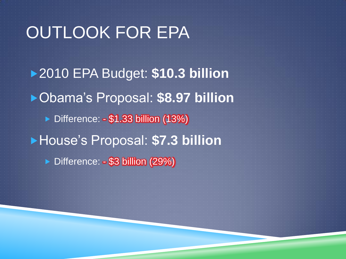# OUTLOOK FOR EPA

2010 EPA Budget: **\$10.3 billion** Obama's Proposal: **\$8.97 billion**  ▶ Difference: - \$1.33 billion (13%) House's Proposal: **\$7.3 billion** Difference: - \$3 billion (29%)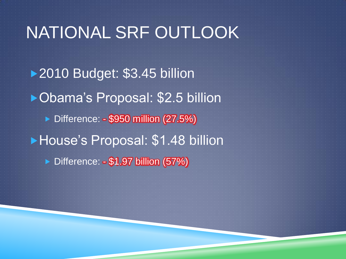# NATIONAL SRF OUTLOOK ▶ 2010 Budget: \$3.45 billion ▶ Obama's Proposal: \$2.5 billion ▶ Difference: - \$950 million (27.5%) **House's Proposal: \$1.48 billion** Difference: - \$1.97 billion (57%)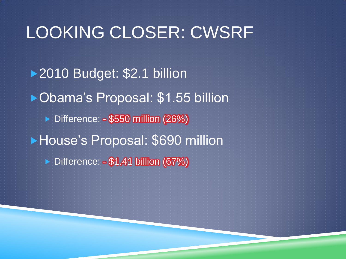# LOOKING CLOSER: CWSRF ▶ 2010 Budget: \$2.1 billion ▶ Obama's Proposal: \$1.55 billion ▶ Difference: - \$550 million (26%) House's Proposal: \$690 million Difference: - \$1.41 billion (67%)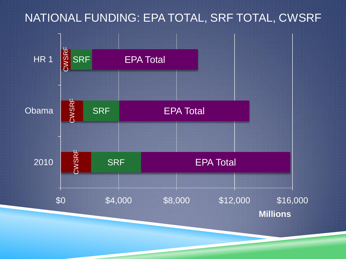#### NATIONAL FUNDING: EPA TOTAL, SRF TOTAL, CWSRF

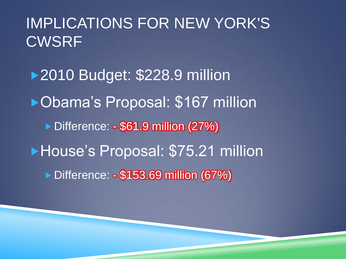### IMPLICATIONS FOR NEW YORK'S **CWSRF**

▶ 2010 Budget: \$228.9 million ▶ Obama's Proposal: \$167 million ▶ Difference: - \$61.9 million (27%) **House's Proposal: \$75.21 million** ▶ Difference: - \$153.69 million (67%)